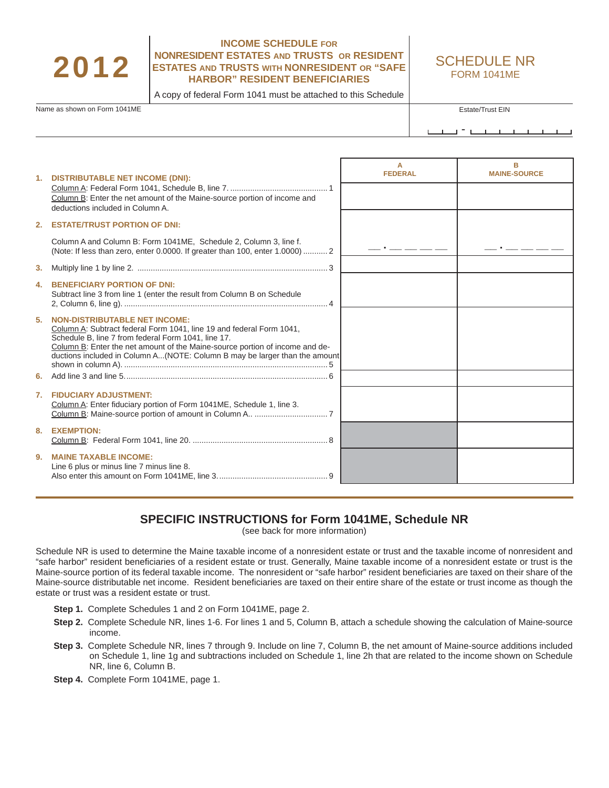## 2012

## **INCOME SCHEDULE FOR NONRESIDENT ESTATES AND TRUSTS OR RESIDENT ESTATES AND TRUSTS WITH NONRESIDENT OR "SAFE HARBOR" RESIDENT BENEFICIARIES**

SCHEDULE NR FORM 1041ME

A copy of federal Form 1041 must be attached to this Schedule

Name as shown on Form 1041ME **Estate/Trust EIN** Estate/Trust EIN

<u>- 1991 - 1992 - 1993 - 1994 - 1994 - 1994 - 1994 - 1994 - 1994 - 1994 - 1994 - 1994 - 1994 - 1994 - 1994 - 19</u>

|                | 1. DISTRIBUTABLE NET INCOME (DNI):                                                                                                                                                                                                                                                                                                | А<br><b>FEDERAL</b> | <b>MAINE-SOURCE</b> |
|----------------|-----------------------------------------------------------------------------------------------------------------------------------------------------------------------------------------------------------------------------------------------------------------------------------------------------------------------------------|---------------------|---------------------|
|                | Column B: Enter the net amount of the Maine-source portion of income and<br>deductions included in Column A.                                                                                                                                                                                                                      |                     |                     |
| 2.             | <b>ESTATE/TRUST PORTION OF DNI:</b>                                                                                                                                                                                                                                                                                               |                     |                     |
|                | Column A and Column B: Form 1041ME, Schedule 2, Column 3, line f.<br>(Note: If less than zero, enter 0.0000. If greater than 100, enter 1.0000)  2                                                                                                                                                                                |                     |                     |
| 3.             |                                                                                                                                                                                                                                                                                                                                   |                     |                     |
| 4.             | <b>BENEFICIARY PORTION OF DNI:</b><br>Subtract line 3 from line 1 (enter the result from Column B on Schedule                                                                                                                                                                                                                     |                     |                     |
| 5.             | <b>NON-DISTRIBUTABLE NET INCOME:</b><br>Column A: Subtract federal Form 1041, line 19 and federal Form 1041,<br>Schedule B, line 7 from federal Form 1041, line 17.<br>Column B: Enter the net amount of the Maine-source portion of income and de-<br>ductions included in Column A(NOTE: Column B may be larger than the amount |                     |                     |
| 6.             |                                                                                                                                                                                                                                                                                                                                   |                     |                     |
| 7.             | <b>FIDUCIARY ADJUSTMENT:</b><br>Column A: Enter fiduciary portion of Form 1041ME, Schedule 1, line 3.                                                                                                                                                                                                                             |                     |                     |
| 8.             | <b>EXEMPTION:</b>                                                                                                                                                                                                                                                                                                                 |                     |                     |
| 9 <sub>1</sub> | <b>MAINE TAXABLE INCOME:</b><br>Line 6 plus or minus line 7 minus line 8.                                                                                                                                                                                                                                                         |                     |                     |

## **SPECIFIC INSTRUCTIONS for Form 1041ME, Schedule NR**

(see back for more information)

Schedule NR is used to determine the Maine taxable income of a nonresident estate or trust and the taxable income of nonresident and "safe harbor" resident beneficiaries of a resident estate or trust. Generally, Maine taxable income of a nonresident estate or trust is the Maine-source portion of its federal taxable income. The nonresident or "safe harbor" resident beneficiaries are taxed on their share of the Maine-source distributable net income. Resident beneficiaries are taxed on their entire share of the estate or trust income as though the estate or trust was a resident estate or trust.

- **Step 1.** Complete Schedules 1 and 2 on Form 1041ME, page 2.
- **Step 2.** Complete Schedule NR, lines 1-6. For lines 1 and 5, Column B, attach a schedule showing the calculation of Maine-source income.
- **Step 3.** Complete Schedule NR, lines 7 through 9. Include on line 7, Column B, the net amount of Maine-source additions included on Schedule 1, line 1g and subtractions included on Schedule 1, line 2h that are related to the income shown on Schedule NR, line 6, Column B.
- **Step 4.** Complete Form 1041ME, page 1.